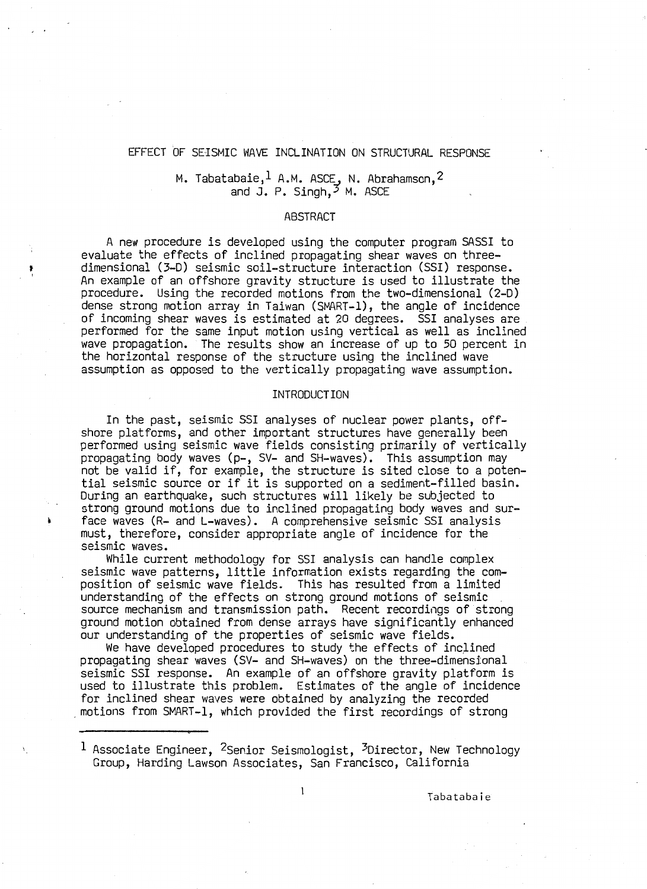## EFFECT OF SEISMIC WAVE INCLINATION ON STRUCTURAL RESPONSE

# M. Tabatabaie, $^{\tt l}$  A.M. ASCE, N. Abrahamson, $^{\tt l}$ and J. P. Singh, $^3$  M. ASCE

### ABSTRACT

A new procedure is developed using the computer program SASSI to evaluate the effects of inclined propagating shear waves on threedimensional (3-D) *seismic* soil-structure interaction (SSI) response. An example of an offshore gravity structure *is* used to illustrate the procedure. Using the recorded motions from the two-dimensional (2-D) dense strong motion array in Taiwan (SMART-1), the angle of incidence of incoming shear waves is estimated at 20 degrees. SSI analyses are performed for the same input motion using vertical as well as inclined wave propagation. The results show an increase of up to 50 percent in the horizontal response of the structure using the inclined wave assumption as opposed to the vertically propagating wave assumption.

t I

#### INTRODUCTION

In the past, *seismic* SSI analyses of nuclear power plants, offshore platforms, and other important structures have generally been performed using seismic wave fields consisting primarily of vertically propagating body waves (p-, SV- and SH-waves). This assumption may not be valid if, for example, the structure is sited close to a potential seismic source or *if* it is supported on a sediment-filled basin. During an earthquake, such structures will likely be subjected to strong ground motions due to inclined propagating body waves and sur-; face waves (R-and L-waves). A comprehensive seismic SSI analysis must, therefore, consider appropriate angle of incidence for the seismic waves.

While current methodology for SSI analysis can handle complex seismic wave patterns, little information exists regarding the composition of seismic wave fields. This has resulted from a limited understanding of the effects on strong ground motions of *seismic* . source mechanism and transmission path. Recent recordif1gs of strong ground motion obtained from dense arrays have significantly enhanced our understanding of the properties of seismic wave fields.

We have developed procedures to study the effects of inclined propagating shear waves (SV- and SH-waves) on the three-dimensional seismic SSI response. An example of an offshore gravity platform is used to illustrate this problem. Estimates of the angle of incidence<br>for inclined shear waves were obtained by analyzing the recorded motions from SMART-1, which provided the first recordings of strong

 $^{\rm 1}$  Associate Engineer,  $^{\rm 2}$ Senior Seismologist,  $^{\rm 3}$ Director, New Technology Group, Harding Lawson Associates, San Francisco, California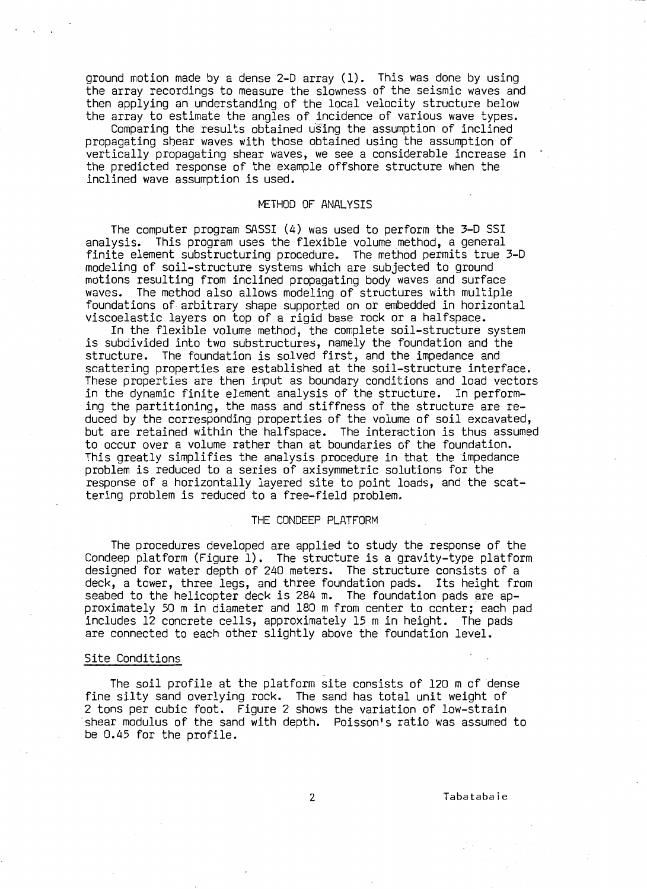ground motion made by a dense 2-D array (1). This was done by using the array recordings to measure the slowness of the seismic waves and then applying an understanding of the local velocity structure below the array to estimate the angles of incidence of various wave types.

Comparing the results obtained using the assumption of inclined propagating shear waves with those obtained using the assumption of vertically propagating shear waves, we see a considerable increase in the predicted response of the example offshore structure when the inclined wave assumption is used.

## METHOD OF ANALYSIS

The computer program SASSI (4) was used to perform the 3-D SSI analysis. This program uses the flexible volume method, a general finite element substructuring procedure. The method permits true 3-D<br>modeling of soil-structure systems which are subjected to ground motions resulting from inclined propagating body waves and surface waves. The method also allows modeling of structures with multiple foundations of arbitrary shape supported on or embedded in horizontal viscoelastic layers on top of a rigid base rock or a halfspace.<br>In the flexible volume method, the complete soil-structure system

is subdivided into two substructures, namely the foundation and the structure. The foundation is solved first, and the impedance and scattering properties are established at the soil-structure interface. These properties are then input as boundary conditions and load vectors in the dynamic finite element analysis of the structure. In performing the partitioning, the mass and stiffness of the structure are reduced by the corresponding properties of the volume of soil excavated, but are retained within the halfspace. The interaction is thus assumed to occur over a volume rather than at boundaries of the foundation. This greatly simplifies the analysis procedure in that the impedance problem is reduced to a series of axisymmetric solutions for the response of a horizontally layered site to point loads, and the scattering problem is reduced to a free-field problem.

## THE CONDEEP PLATFORM

The procedures developed are applied to study the response of the Condeep platform (Figure 1). The structure is a gravity-type platform designed for water depth of 240 meters. The structure consists of a deck, a tower, three legs, and three foundation pads. Its height from<br>seabed to the helicopter deck is 284 m. The foundation pads are approximately 50 m in diameter and 180 m from center to center; each pad includes 12 concrete cells, approximately 15 m in height. The pads are connected to each other slightly above the foundation level.

#### Site Conditions

The soil profile at the platform site consists of 120 m of dense fine silty sand overlying rock. The sand has total unit weight of 2 tons per cubic foot. Figure 2 shows the variation of low-strain shear modulus of the sand with depth. Poisson's ratio was assumed to be 0.45 for the profile.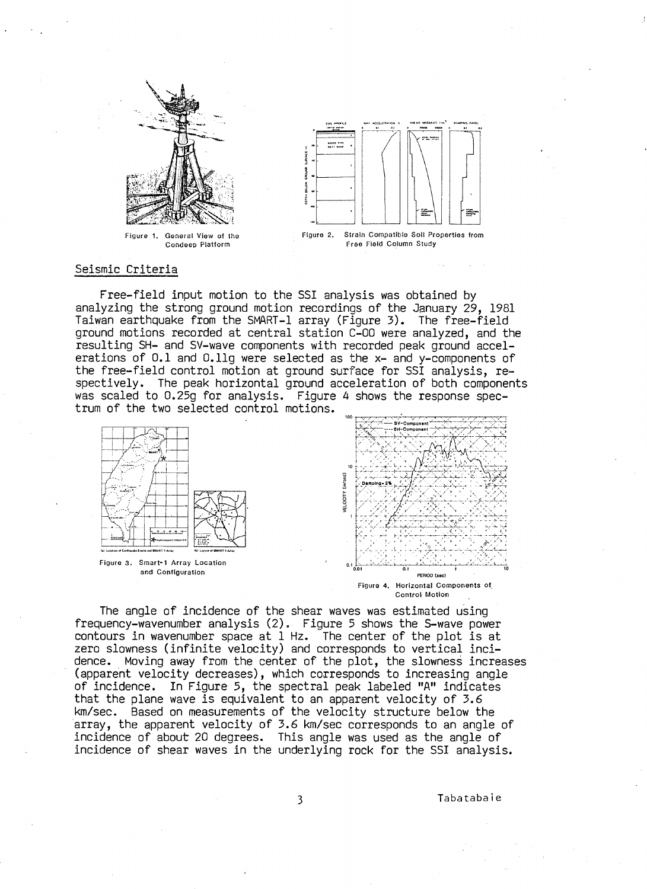

Figure 1. General View of the Condeep Platform



Figure 2. Strain Compatible SoU Properties from Free Field Column Study

### Seismic Criteria

Free-field input motion to the SSI analysis was obtained by analyzing the strong ground motion recordings of the January 29, 1981 Taiwan earthquake from the SMART-1 array (Figure 3). The free-field ground motions recorded at central station C-OO were analyzed, and the resulting SH- and SV-wave components with recorded peak ground accelerations of 0.1 and O.llg were selected as the x- and y-components of the free-field control motion at ground surface for SSI analysis, respectively. The peak horizontal ground acceleration of both components was scaled to 0.25g for analysis. Figure 4 shows the response spectrum of the two selected control motions.



The angle of incidence of the shear waves was estimated using frequency-wavenumber analysis (2). Figure 5 shows the S-wave power contours in wavenumber space at 1 Hz. The center of the plot is at zero slowness (infinite velocity) and corresponds to vertical incidence. Moving away from the center of the plot, the slowness increases (apparent velocity decreases), which corresponds to increasing angle of incidence. In Figure 5, the spectral peak labeled "A" indicates that the plane wave is equivalent to an apparent velocity of 3.6 km/sec. Based on measurements of the velocity structure below the array, the apparent velocity of 3.6 km/sec corresponds to an angle of incidence of about 20 degrees. This angle was used as the angle of incidence of shear waves in the underlying rock for the SSI analysis.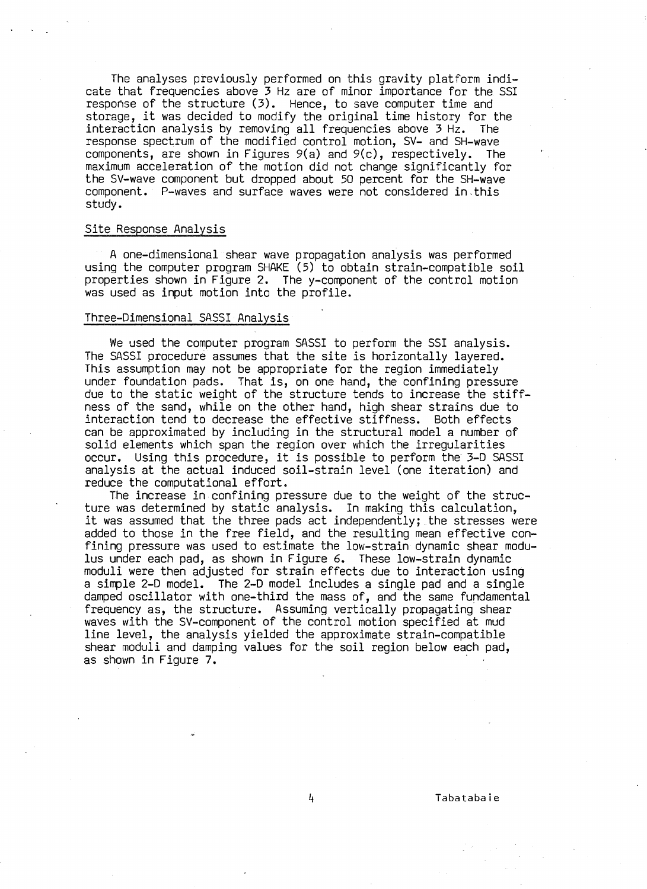The analyses previously performed on this gravity platform indicate that frequencies above 3 Hz are of minor importance for the SSI response of the structure (3). Hence, to save computer time and storage, it was decided to modify the original time history for the interaction analysis by removing all frequencies above 3 Hz. The response spectrum of the modified control motion, SV- and SH-wave components, are shown in Figures 9(a) and 9(c), respectively. The maximum acceleration of the motion did not change significantly for the SV-wave component but dropped about 50 percent for the SH-wave component. P-waves and surface waves were not considered in,this study.

## Site Response Analysis

A one-dimensional shear wave propagation analysis was performed using the computer program SHAKE (5) to obtain strain-compatible soil properties shown in Figure 2. The y-component of the control motion was used as input motion into the profile.

## Three-Dimensional SASSI Analysis

We used the computer program SASSI to perform the SSI analysis. The SASSI procedure assumes that the site is horizontally layered. This assumption may not be appropriate for the region immediately under foundation pads. That is, on one hand, the confining pressure due to the static weight of the structure tends to increase the stiffness of the sand, while on the other hand, high shear strains due to interaction tend to decrease the effective stiffness. Both effects can be approximated by including in the structural model a number of solid elements which span the region over which the irregularities occur. Using this procedure, it is possible to perform the 3-D SASSI analysis at the actual induced soil-strain level (one iteration) and reduce the computational effort.

The increase in confining pressure due to the weight of the structure was determined by static analysis. In making this calculation, it was assumed that the three pads act independently; the stresses were added to those in the free field, and the resulting mean effective confining pressure was used to estimate the low-strain dynamic shear modu-<br>lus under each pad, as shown in Figure 6. These low-strain dynamic moduli were then adjusted for strain effects due to interaction using a simple 2-D model. The 2-D model includes a single pad and a single damped oscillator with one-third the mass of, and the same fundamental frequency as, the structure. Assuming vertically propagating shear waves with the SV-component of the control motion specified at mud line level, the analysis yielded the approximate strain-compatible shear moduli and damping values for the soil region below each pad, as shown in Figure 7.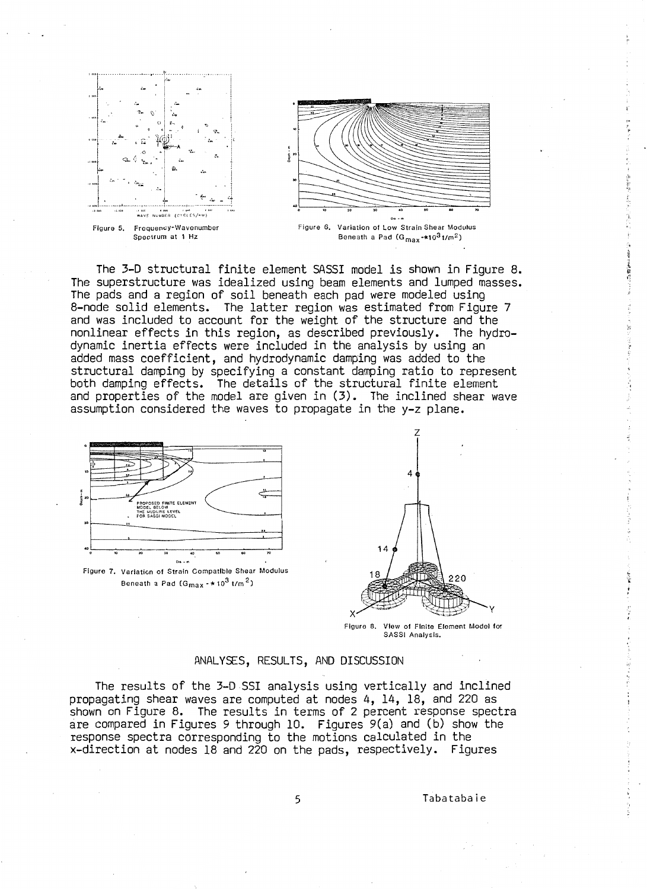

The 3-D structural finite element SASSI model is shown in Figure 8. The superstructure was idealized using beam elements and lumped masses.<br>The pads and a region of soil beneath each pad were modeled using 8-node solid elements. The latter region was estimated from Figure 7 and was included to account for the weight of the structure and the nonlinear effects in this region, as described previously. The hydrodynamic inertia effects were included in the analysis by using an added mass coefficient, and hydrodynamic damping was added to the<br>structural damping by specifying a constant damping ratio to represent both damping effects. The details of the structural finite element and properties of the model are given in (3). The inclined shear wave assumption considered the waves to propagate in the y-z plane.





,,.

Figure 8. View of Finite Element Model for SASSI Analysis.

#### ANALYSES, RESULTS, AND DISCUSSION

The results of the 3-D SSI analysis using vertically and inclined propagating shear waves are computed at nodes 4, 14, 18, and 220 as shown on Figure 8. The results in terms of 2 percent response spectra are compared in Figures 9 through 10. Figures 9(a) and (b) show the response spectra corresponding to the motions calculated in the x-direction at nodes 18 and 220 on the pads, respectively. Figures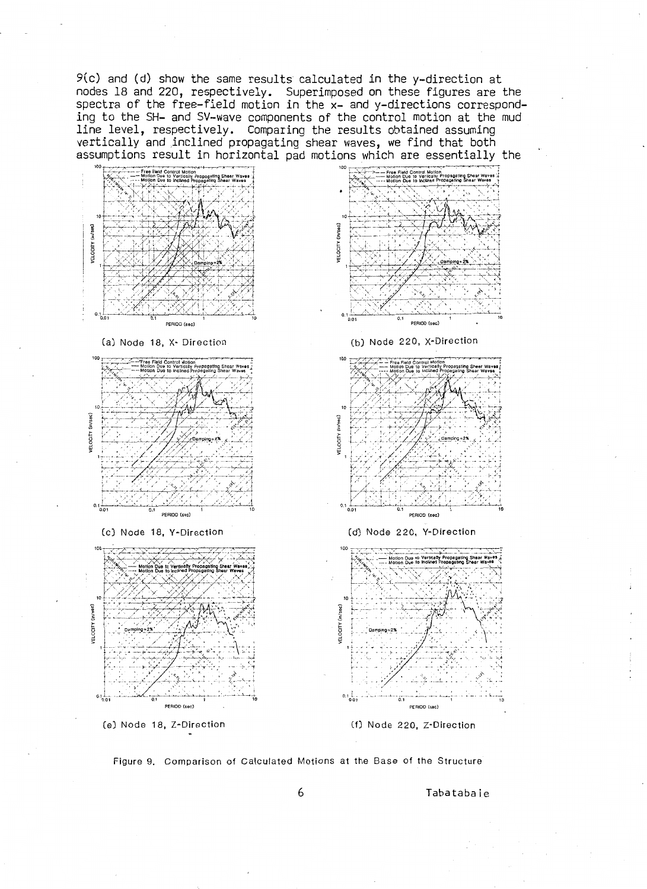9(c) and (d) show the same results calculated in the y-direction at nodes 18 and 220, respectively. Superimposed on these figures are the spectra of the free-field motion in the x- and y-directions corresponding to the SH- and SV-wave components of the control motion at the mud line level, respectively. Comparing the results obtained assuming vertically and inclined propagating shear waves, we find that both assumptions result in horizontal pad motions which are essentially the



Figure 9. Comparison of Calculated Motions at the Base of the Structure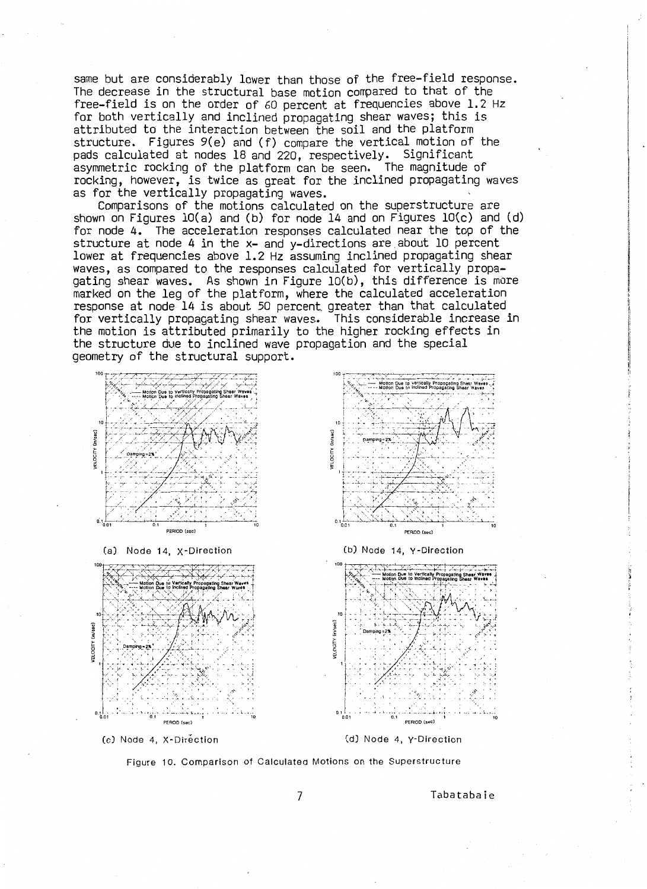same but are considerably lower than those of the free-field response. The decrease in the structural base motion compared to that of the free-field is on the order of 60 percent at frequencies above 1.2 Hz for both vertically and inclined propagating shear waves; this is attributed to the interaction between the soil and the platform structure. Figures 9(e) and (f) compare the vertical motion of the pads calculated at nodes 18 and 220, respectively. Significant asymmetric rocking of the platform can be seen. The magnitude of rocking, however, is twice as great for the inclined propagating waves as for the vertically propagating waves.

Comparisons of the motions calculated on the superstructure are shown on Figures  $10(a)$  and (b) for node 14 and on Figures  $10(c)$  and (d) for node 4. The acceleration responses calculated near the top of the structure at node 4 in the x- and y-directions are about 10 percent lower at frequencies above 1.2 Hz assuming inclined propagating shear lower at frequencies above 1.2 Hz assuming inclined propagating shear waves, as compared to the responses calculated for vertically propa-<br>qating shear waves. As shown in Figure 10(b), this difference is more marked on the leg of the platform, where the calculated acceleration response at node 14 is about 50 percent greater than that calculated for vertically propagating shear waves. This considerable increase in the motion is attributed primarily to the higher rocking effects in the structure due to inclined wave propagation and the special geometry of the structural support.



(a) Node 14, X·Direction







(d) Node 4, Y-Direction